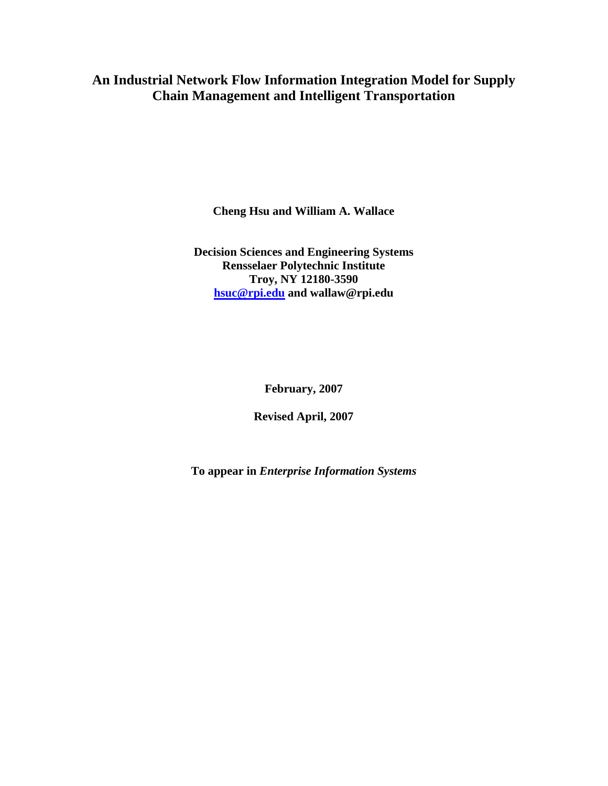## **An Industrial Network Flow Information Integration Model for Supply Chain Management and Intelligent Transportation**

**Cheng Hsu and William A. Wallace** 

**Decision Sciences and Engineering Systems Rensselaer Polytechnic Institute Troy, NY 12180-3590 hsuc@rpi.edu and wallaw@rpi.edu**

**February, 2007** 

**Revised April, 2007** 

**To appear in** *Enterprise Information Systems*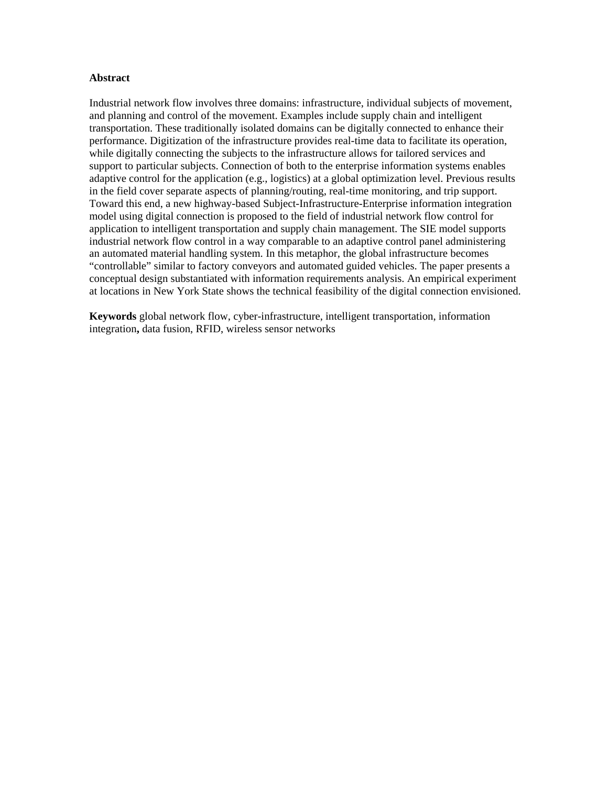#### **Abstract**

Industrial network flow involves three domains: infrastructure, individual subjects of movement, and planning and control of the movement. Examples include supply chain and intelligent transportation. These traditionally isolated domains can be digitally connected to enhance their performance. Digitization of the infrastructure provides real-time data to facilitate its operation, while digitally connecting the subjects to the infrastructure allows for tailored services and support to particular subjects. Connection of both to the enterprise information systems enables adaptive control for the application (e.g., logistics) at a global optimization level. Previous results in the field cover separate aspects of planning/routing, real-time monitoring, and trip support. Toward this end, a new highway-based Subject-Infrastructure-Enterprise information integration model using digital connection is proposed to the field of industrial network flow control for application to intelligent transportation and supply chain management. The SIE model supports industrial network flow control in a way comparable to an adaptive control panel administering an automated material handling system. In this metaphor, the global infrastructure becomes "controllable" similar to factory conveyors and automated guided vehicles. The paper presents a conceptual design substantiated with information requirements analysis. An empirical experiment at locations in New York State shows the technical feasibility of the digital connection envisioned.

**Keywords** global network flow, cyber-infrastructure, intelligent transportation, information integration**,** data fusion, RFID, wireless sensor networks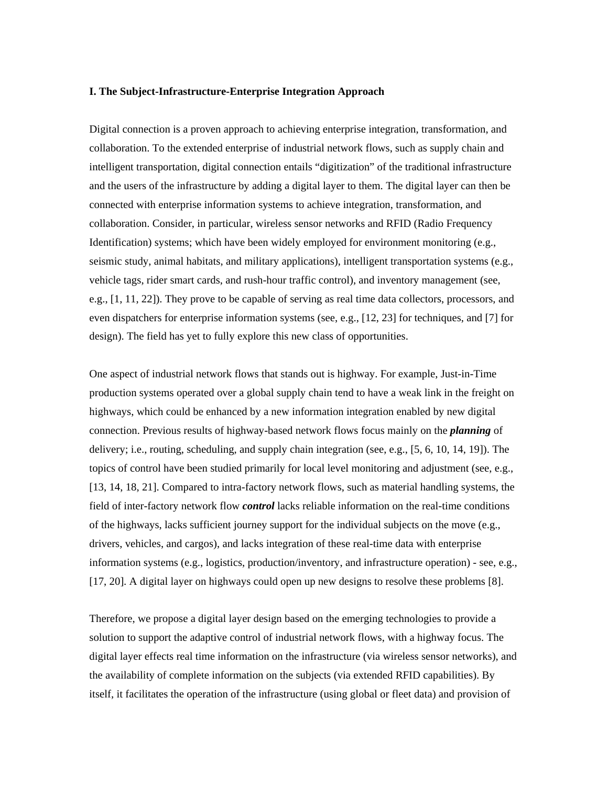#### **I. The Subject-Infrastructure-Enterprise Integration Approach**

Digital connection is a proven approach to achieving enterprise integration, transformation, and collaboration. To the extended enterprise of industrial network flows, such as supply chain and intelligent transportation, digital connection entails "digitization" of the traditional infrastructure and the users of the infrastructure by adding a digital layer to them. The digital layer can then be connected with enterprise information systems to achieve integration, transformation, and collaboration. Consider, in particular, wireless sensor networks and RFID (Radio Frequency Identification) systems; which have been widely employed for environment monitoring (e.g., seismic study, animal habitats, and military applications), intelligent transportation systems (e.g., vehicle tags, rider smart cards, and rush-hour traffic control), and inventory management (see, e.g., [1, 11, 22]). They prove to be capable of serving as real time data collectors, processors, and even dispatchers for enterprise information systems (see, e.g., [12, 23] for techniques, and [7] for design). The field has yet to fully explore this new class of opportunities.

One aspect of industrial network flows that stands out is highway. For example, Just-in-Time production systems operated over a global supply chain tend to have a weak link in the freight on highways, which could be enhanced by a new information integration enabled by new digital connection. Previous results of highway-based network flows focus mainly on the *planning* of delivery; i.e., routing, scheduling, and supply chain integration (see, e.g., [5, 6, 10, 14, 19]). The topics of control have been studied primarily for local level monitoring and adjustment (see, e.g., [13, 14, 18, 21]. Compared to intra-factory network flows, such as material handling systems, the field of inter-factory network flow *control* lacks reliable information on the real-time conditions of the highways, lacks sufficient journey support for the individual subjects on the move (e.g., drivers, vehicles, and cargos), and lacks integration of these real-time data with enterprise information systems (e.g., logistics, production/inventory, and infrastructure operation) - see, e.g., [17, 20]. A digital layer on highways could open up new designs to resolve these problems [8].

Therefore, we propose a digital layer design based on the emerging technologies to provide a solution to support the adaptive control of industrial network flows, with a highway focus. The digital layer effects real time information on the infrastructure (via wireless sensor networks), and the availability of complete information on the subjects (via extended RFID capabilities). By itself, it facilitates the operation of the infrastructure (using global or fleet data) and provision of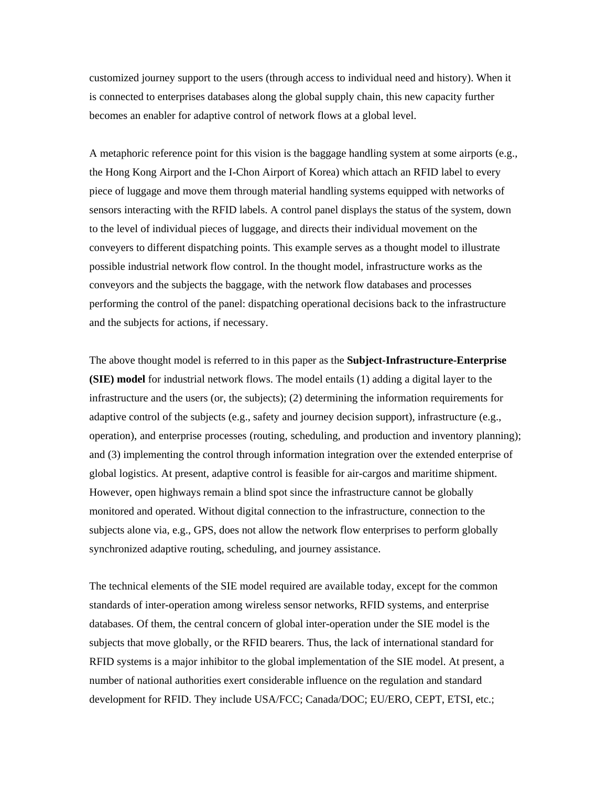customized journey support to the users (through access to individual need and history). When it is connected to enterprises databases along the global supply chain, this new capacity further becomes an enabler for adaptive control of network flows at a global level.

A metaphoric reference point for this vision is the baggage handling system at some airports (e.g., the Hong Kong Airport and the I-Chon Airport of Korea) which attach an RFID label to every piece of luggage and move them through material handling systems equipped with networks of sensors interacting with the RFID labels. A control panel displays the status of the system, down to the level of individual pieces of luggage, and directs their individual movement on the conveyers to different dispatching points. This example serves as a thought model to illustrate possible industrial network flow control. In the thought model, infrastructure works as the conveyors and the subjects the baggage, with the network flow databases and processes performing the control of the panel: dispatching operational decisions back to the infrastructure and the subjects for actions, if necessary.

The above thought model is referred to in this paper as the **Subject-Infrastructure-Enterprise (SIE) model** for industrial network flows. The model entails (1) adding a digital layer to the infrastructure and the users (or, the subjects); (2) determining the information requirements for adaptive control of the subjects (e.g., safety and journey decision support), infrastructure (e.g., operation), and enterprise processes (routing, scheduling, and production and inventory planning); and (3) implementing the control through information integration over the extended enterprise of global logistics. At present, adaptive control is feasible for air-cargos and maritime shipment. However, open highways remain a blind spot since the infrastructure cannot be globally monitored and operated. Without digital connection to the infrastructure, connection to the subjects alone via, e.g., GPS, does not allow the network flow enterprises to perform globally synchronized adaptive routing, scheduling, and journey assistance.

The technical elements of the SIE model required are available today, except for the common standards of inter-operation among wireless sensor networks, RFID systems, and enterprise databases. Of them, the central concern of global inter-operation under the SIE model is the subjects that move globally, or the RFID bearers. Thus, the lack of international standard for RFID systems is a major inhibitor to the global implementation of the SIE model. At present, a number of national authorities exert considerable influence on the regulation and standard development for RFID. They include USA/FCC; Canada/DOC; EU/ERO, CEPT, ETSI, etc.;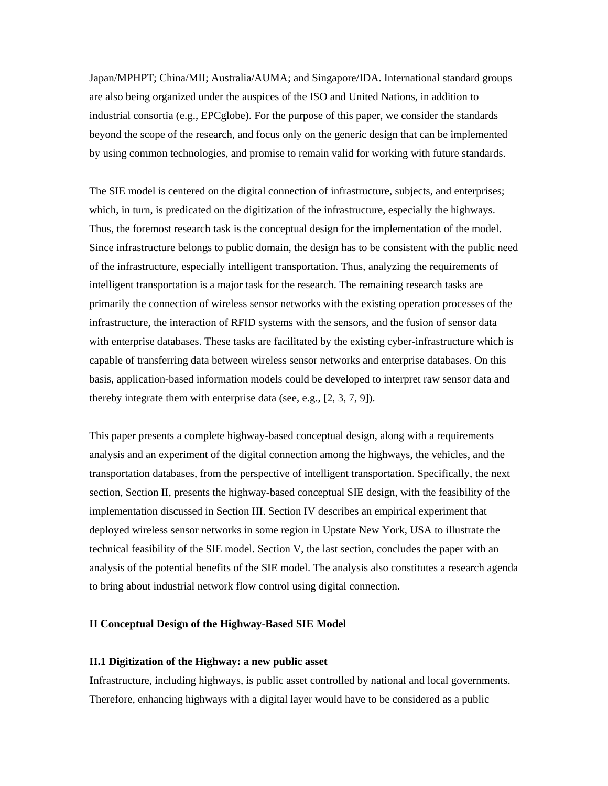Japan/MPHPT; China/MII; Australia/AUMA; and Singapore/IDA. International standard groups are also being organized under the auspices of the ISO and United Nations, in addition to industrial consortia (e.g., EPCglobe). For the purpose of this paper, we consider the standards beyond the scope of the research, and focus only on the generic design that can be implemented by using common technologies, and promise to remain valid for working with future standards.

The SIE model is centered on the digital connection of infrastructure, subjects, and enterprises; which, in turn, is predicated on the digitization of the infrastructure, especially the highways. Thus, the foremost research task is the conceptual design for the implementation of the model. Since infrastructure belongs to public domain, the design has to be consistent with the public need of the infrastructure, especially intelligent transportation. Thus, analyzing the requirements of intelligent transportation is a major task for the research. The remaining research tasks are primarily the connection of wireless sensor networks with the existing operation processes of the infrastructure, the interaction of RFID systems with the sensors, and the fusion of sensor data with enterprise databases. These tasks are facilitated by the existing cyber-infrastructure which is capable of transferring data between wireless sensor networks and enterprise databases. On this basis, application-based information models could be developed to interpret raw sensor data and thereby integrate them with enterprise data (see, e.g., [2, 3, 7, 9]).

This paper presents a complete highway-based conceptual design, along with a requirements analysis and an experiment of the digital connection among the highways, the vehicles, and the transportation databases, from the perspective of intelligent transportation. Specifically, the next section, Section II, presents the highway-based conceptual SIE design, with the feasibility of the implementation discussed in Section III. Section IV describes an empirical experiment that deployed wireless sensor networks in some region in Upstate New York, USA to illustrate the technical feasibility of the SIE model. Section V, the last section, concludes the paper with an analysis of the potential benefits of the SIE model. The analysis also constitutes a research agenda to bring about industrial network flow control using digital connection.

#### **II Conceptual Design of the Highway-Based SIE Model**

#### **II.1 Digitization of the Highway: a new public asset**

**I**nfrastructure, including highways, is public asset controlled by national and local governments. Therefore, enhancing highways with a digital layer would have to be considered as a public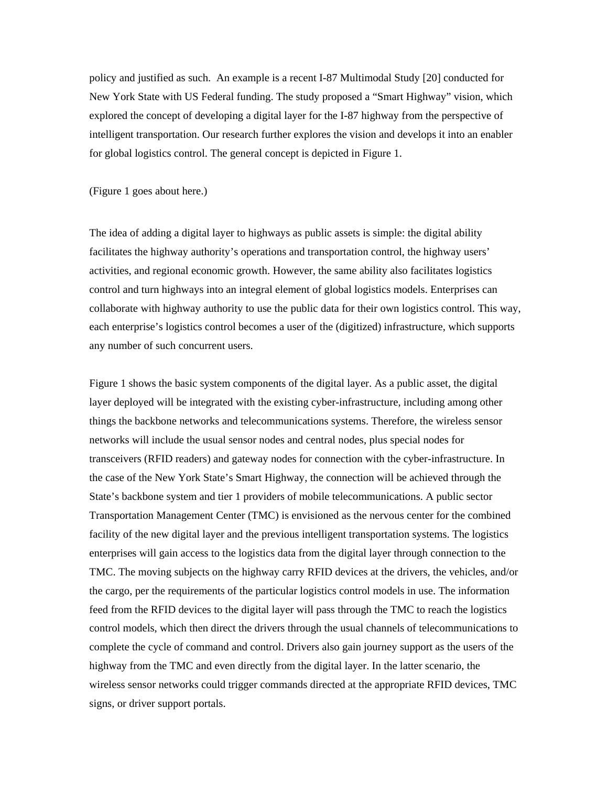policy and justified as such. An example is a recent I-87 Multimodal Study [20] conducted for New York State with US Federal funding. The study proposed a "Smart Highway" vision, which explored the concept of developing a digital layer for the I-87 highway from the perspective of intelligent transportation. Our research further explores the vision and develops it into an enabler for global logistics control. The general concept is depicted in Figure 1.

(Figure 1 goes about here.)

The idea of adding a digital layer to highways as public assets is simple: the digital ability facilitates the highway authority's operations and transportation control, the highway users' activities, and regional economic growth. However, the same ability also facilitates logistics control and turn highways into an integral element of global logistics models. Enterprises can collaborate with highway authority to use the public data for their own logistics control. This way, each enterprise's logistics control becomes a user of the (digitized) infrastructure, which supports any number of such concurrent users.

Figure 1 shows the basic system components of the digital layer. As a public asset, the digital layer deployed will be integrated with the existing cyber-infrastructure, including among other things the backbone networks and telecommunications systems. Therefore, the wireless sensor networks will include the usual sensor nodes and central nodes, plus special nodes for transceivers (RFID readers) and gateway nodes for connection with the cyber-infrastructure. In the case of the New York State's Smart Highway, the connection will be achieved through the State's backbone system and tier 1 providers of mobile telecommunications. A public sector Transportation Management Center (TMC) is envisioned as the nervous center for the combined facility of the new digital layer and the previous intelligent transportation systems. The logistics enterprises will gain access to the logistics data from the digital layer through connection to the TMC. The moving subjects on the highway carry RFID devices at the drivers, the vehicles, and/or the cargo, per the requirements of the particular logistics control models in use. The information feed from the RFID devices to the digital layer will pass through the TMC to reach the logistics control models, which then direct the drivers through the usual channels of telecommunications to complete the cycle of command and control. Drivers also gain journey support as the users of the highway from the TMC and even directly from the digital layer. In the latter scenario, the wireless sensor networks could trigger commands directed at the appropriate RFID devices, TMC signs, or driver support portals.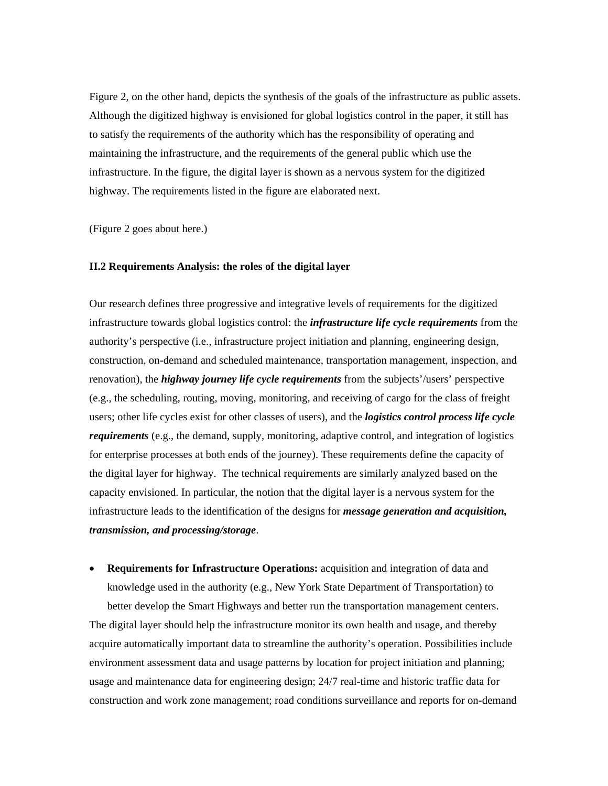Figure 2, on the other hand, depicts the synthesis of the goals of the infrastructure as public assets. Although the digitized highway is envisioned for global logistics control in the paper, it still has to satisfy the requirements of the authority which has the responsibility of operating and maintaining the infrastructure, and the requirements of the general public which use the infrastructure. In the figure, the digital layer is shown as a nervous system for the digitized highway. The requirements listed in the figure are elaborated next.

(Figure 2 goes about here.)

#### **II.2 Requirements Analysis: the roles of the digital layer**

Our research defines three progressive and integrative levels of requirements for the digitized infrastructure towards global logistics control: the *infrastructure life cycle requirements* from the authority's perspective (i.e., infrastructure project initiation and planning, engineering design, construction, on-demand and scheduled maintenance, transportation management, inspection, and renovation), the *highway journey life cycle requirements* from the subjects'/users' perspective (e.g., the scheduling, routing, moving, monitoring, and receiving of cargo for the class of freight users; other life cycles exist for other classes of users), and the *logistics control process life cycle requirements* (e.g., the demand, supply, monitoring, adaptive control, and integration of logistics for enterprise processes at both ends of the journey). These requirements define the capacity of the digital layer for highway. The technical requirements are similarly analyzed based on the capacity envisioned. In particular, the notion that the digital layer is a nervous system for the infrastructure leads to the identification of the designs for *message generation and acquisition, transmission, and processing/storage*.

• **Requirements for Infrastructure Operations:** acquisition and integration of data and knowledge used in the authority (e.g., New York State Department of Transportation) to better develop the Smart Highways and better run the transportation management centers. The digital layer should help the infrastructure monitor its own health and usage, and thereby acquire automatically important data to streamline the authority's operation. Possibilities include environment assessment data and usage patterns by location for project initiation and planning; usage and maintenance data for engineering design; 24/7 real-time and historic traffic data for construction and work zone management; road conditions surveillance and reports for on-demand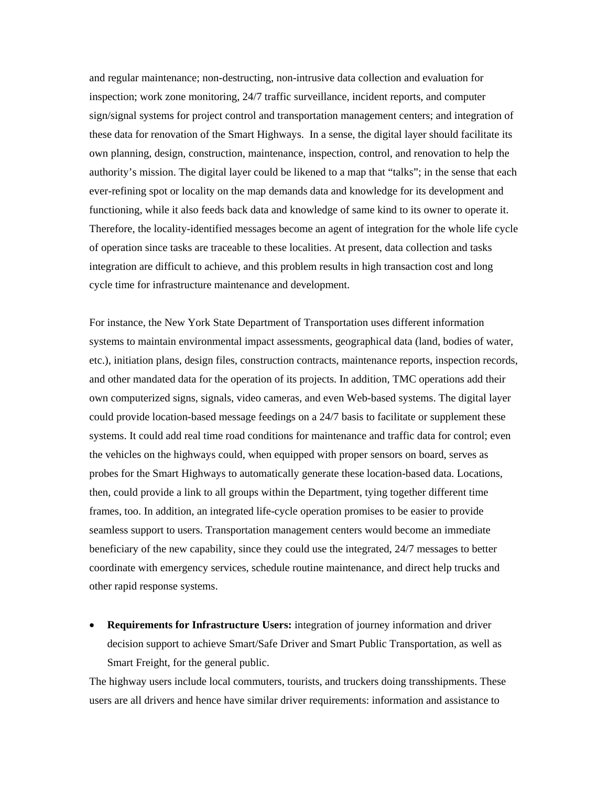and regular maintenance; non-destructing, non-intrusive data collection and evaluation for inspection; work zone monitoring, 24/7 traffic surveillance, incident reports, and computer sign/signal systems for project control and transportation management centers; and integration of these data for renovation of the Smart Highways. In a sense, the digital layer should facilitate its own planning, design, construction, maintenance, inspection, control, and renovation to help the authority's mission. The digital layer could be likened to a map that "talks"; in the sense that each ever-refining spot or locality on the map demands data and knowledge for its development and functioning, while it also feeds back data and knowledge of same kind to its owner to operate it. Therefore, the locality-identified messages become an agent of integration for the whole life cycle of operation since tasks are traceable to these localities. At present, data collection and tasks integration are difficult to achieve, and this problem results in high transaction cost and long cycle time for infrastructure maintenance and development.

For instance, the New York State Department of Transportation uses different information systems to maintain environmental impact assessments, geographical data (land, bodies of water, etc.), initiation plans, design files, construction contracts, maintenance reports, inspection records, and other mandated data for the operation of its projects. In addition, TMC operations add their own computerized signs, signals, video cameras, and even Web-based systems. The digital layer could provide location-based message feedings on a 24/7 basis to facilitate or supplement these systems. It could add real time road conditions for maintenance and traffic data for control; even the vehicles on the highways could, when equipped with proper sensors on board, serves as probes for the Smart Highways to automatically generate these location-based data. Locations, then, could provide a link to all groups within the Department, tying together different time frames, too. In addition, an integrated life-cycle operation promises to be easier to provide seamless support to users. Transportation management centers would become an immediate beneficiary of the new capability, since they could use the integrated, 24/7 messages to better coordinate with emergency services, schedule routine maintenance, and direct help trucks and other rapid response systems.

• **Requirements for Infrastructure Users:** integration of journey information and driver decision support to achieve Smart/Safe Driver and Smart Public Transportation, as well as Smart Freight, for the general public.

The highway users include local commuters, tourists, and truckers doing transshipments. These users are all drivers and hence have similar driver requirements: information and assistance to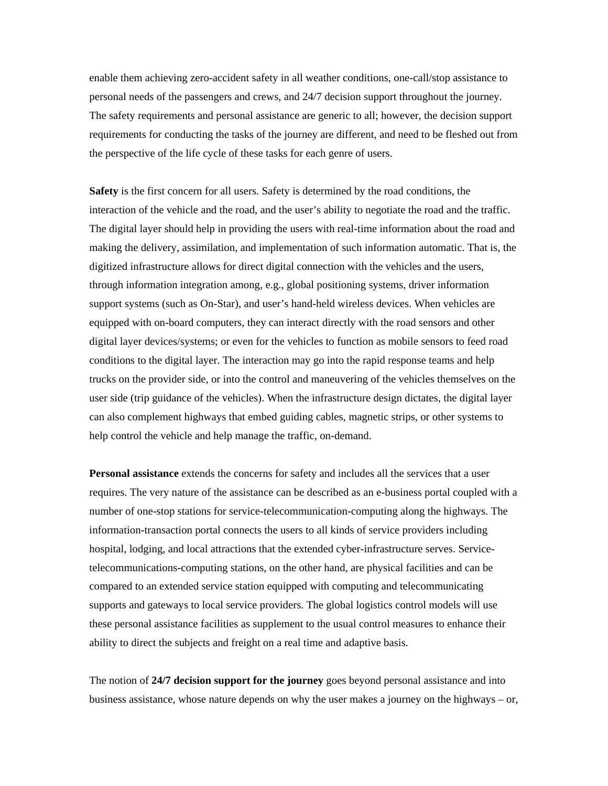enable them achieving zero-accident safety in all weather conditions, one-call/stop assistance to personal needs of the passengers and crews, and 24/7 decision support throughout the journey. The safety requirements and personal assistance are generic to all; however, the decision support requirements for conducting the tasks of the journey are different, and need to be fleshed out from the perspective of the life cycle of these tasks for each genre of users.

**Safety** is the first concern for all users. Safety is determined by the road conditions, the interaction of the vehicle and the road, and the user's ability to negotiate the road and the traffic. The digital layer should help in providing the users with real-time information about the road and making the delivery, assimilation, and implementation of such information automatic. That is, the digitized infrastructure allows for direct digital connection with the vehicles and the users, through information integration among, e.g., global positioning systems, driver information support systems (such as On-Star), and user's hand-held wireless devices. When vehicles are equipped with on-board computers, they can interact directly with the road sensors and other digital layer devices/systems; or even for the vehicles to function as mobile sensors to feed road conditions to the digital layer. The interaction may go into the rapid response teams and help trucks on the provider side, or into the control and maneuvering of the vehicles themselves on the user side (trip guidance of the vehicles). When the infrastructure design dictates, the digital layer can also complement highways that embed guiding cables, magnetic strips, or other systems to help control the vehicle and help manage the traffic, on-demand.

**Personal assistance** extends the concerns for safety and includes all the services that a user requires. The very nature of the assistance can be described as an e-business portal coupled with a number of one-stop stations for service-telecommunication-computing along the highways. The information-transaction portal connects the users to all kinds of service providers including hospital, lodging, and local attractions that the extended cyber-infrastructure serves. Servicetelecommunications-computing stations, on the other hand, are physical facilities and can be compared to an extended service station equipped with computing and telecommunicating supports and gateways to local service providers. The global logistics control models will use these personal assistance facilities as supplement to the usual control measures to enhance their ability to direct the subjects and freight on a real time and adaptive basis.

The notion of **24/7 decision support for the journey** goes beyond personal assistance and into business assistance, whose nature depends on why the user makes a journey on the highways – or,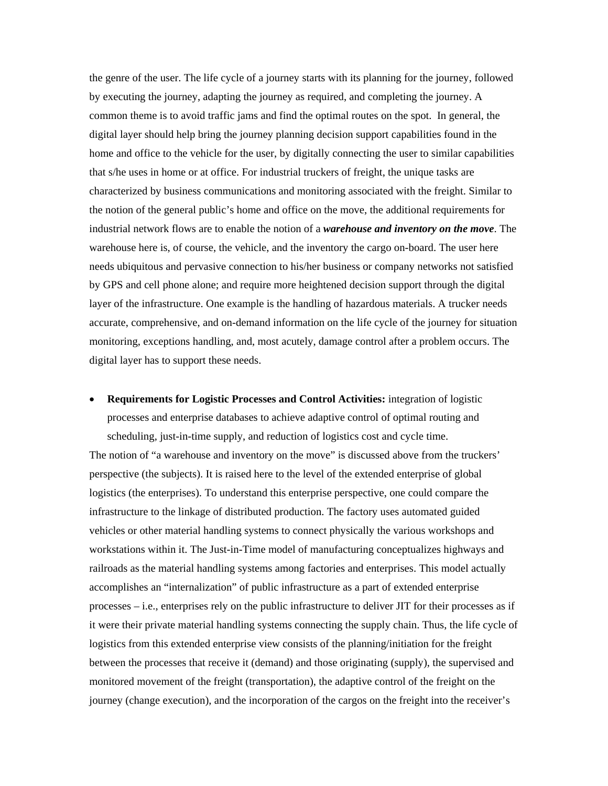the genre of the user. The life cycle of a journey starts with its planning for the journey, followed by executing the journey, adapting the journey as required, and completing the journey. A common theme is to avoid traffic jams and find the optimal routes on the spot. In general, the digital layer should help bring the journey planning decision support capabilities found in the home and office to the vehicle for the user, by digitally connecting the user to similar capabilities that s/he uses in home or at office. For industrial truckers of freight, the unique tasks are characterized by business communications and monitoring associated with the freight. Similar to the notion of the general public's home and office on the move, the additional requirements for industrial network flows are to enable the notion of a *warehouse and inventory on the move*. The warehouse here is, of course, the vehicle, and the inventory the cargo on-board. The user here needs ubiquitous and pervasive connection to his/her business or company networks not satisfied by GPS and cell phone alone; and require more heightened decision support through the digital layer of the infrastructure. One example is the handling of hazardous materials. A trucker needs accurate, comprehensive, and on-demand information on the life cycle of the journey for situation monitoring, exceptions handling, and, most acutely, damage control after a problem occurs. The digital layer has to support these needs.

• **Requirements for Logistic Processes and Control Activities:** integration of logistic processes and enterprise databases to achieve adaptive control of optimal routing and scheduling, just-in-time supply, and reduction of logistics cost and cycle time. The notion of "a warehouse and inventory on the move" is discussed above from the truckers' perspective (the subjects). It is raised here to the level of the extended enterprise of global logistics (the enterprises). To understand this enterprise perspective, one could compare the infrastructure to the linkage of distributed production. The factory uses automated guided vehicles or other material handling systems to connect physically the various workshops and workstations within it. The Just-in-Time model of manufacturing conceptualizes highways and railroads as the material handling systems among factories and enterprises. This model actually accomplishes an "internalization" of public infrastructure as a part of extended enterprise processes – i.e., enterprises rely on the public infrastructure to deliver JIT for their processes as if it were their private material handling systems connecting the supply chain. Thus, the life cycle of logistics from this extended enterprise view consists of the planning/initiation for the freight between the processes that receive it (demand) and those originating (supply), the supervised and monitored movement of the freight (transportation), the adaptive control of the freight on the journey (change execution), and the incorporation of the cargos on the freight into the receiver's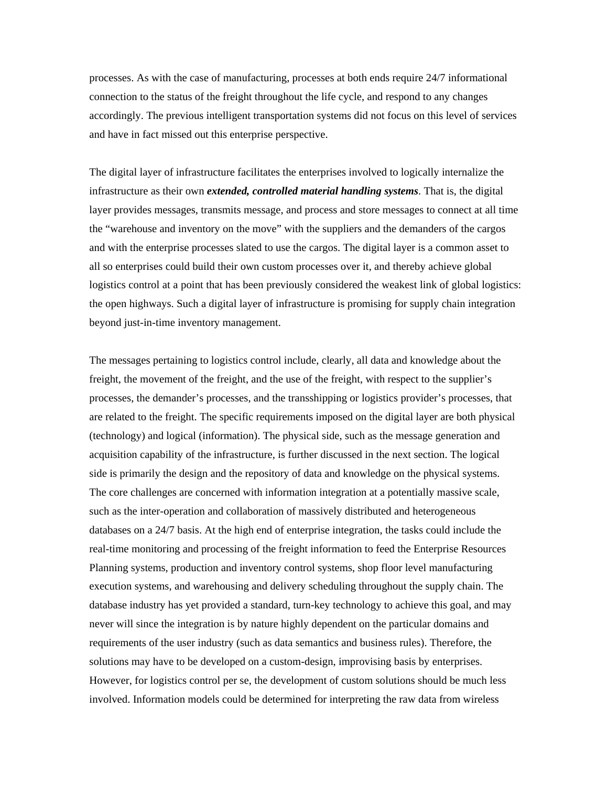processes. As with the case of manufacturing, processes at both ends require 24/7 informational connection to the status of the freight throughout the life cycle, and respond to any changes accordingly. The previous intelligent transportation systems did not focus on this level of services and have in fact missed out this enterprise perspective.

The digital layer of infrastructure facilitates the enterprises involved to logically internalize the infrastructure as their own *extended, controlled material handling systems*. That is, the digital layer provides messages, transmits message, and process and store messages to connect at all time the "warehouse and inventory on the move" with the suppliers and the demanders of the cargos and with the enterprise processes slated to use the cargos. The digital layer is a common asset to all so enterprises could build their own custom processes over it, and thereby achieve global logistics control at a point that has been previously considered the weakest link of global logistics: the open highways. Such a digital layer of infrastructure is promising for supply chain integration beyond just-in-time inventory management.

The messages pertaining to logistics control include, clearly, all data and knowledge about the freight, the movement of the freight, and the use of the freight, with respect to the supplier's processes, the demander's processes, and the transshipping or logistics provider's processes, that are related to the freight. The specific requirements imposed on the digital layer are both physical (technology) and logical (information). The physical side, such as the message generation and acquisition capability of the infrastructure, is further discussed in the next section. The logical side is primarily the design and the repository of data and knowledge on the physical systems. The core challenges are concerned with information integration at a potentially massive scale, such as the inter-operation and collaboration of massively distributed and heterogeneous databases on a 24/7 basis. At the high end of enterprise integration, the tasks could include the real-time monitoring and processing of the freight information to feed the Enterprise Resources Planning systems, production and inventory control systems, shop floor level manufacturing execution systems, and warehousing and delivery scheduling throughout the supply chain. The database industry has yet provided a standard, turn-key technology to achieve this goal, and may never will since the integration is by nature highly dependent on the particular domains and requirements of the user industry (such as data semantics and business rules). Therefore, the solutions may have to be developed on a custom-design, improvising basis by enterprises. However, for logistics control per se, the development of custom solutions should be much less involved. Information models could be determined for interpreting the raw data from wireless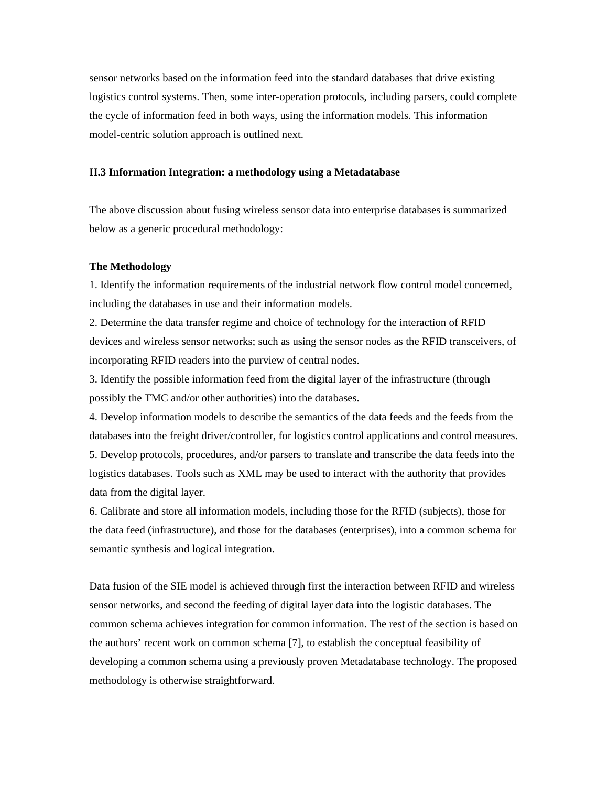sensor networks based on the information feed into the standard databases that drive existing logistics control systems. Then, some inter-operation protocols, including parsers, could complete the cycle of information feed in both ways, using the information models. This information model-centric solution approach is outlined next.

#### **II.3 Information Integration: a methodology using a Metadatabase**

The above discussion about fusing wireless sensor data into enterprise databases is summarized below as a generic procedural methodology:

#### **The Methodology**

1. Identify the information requirements of the industrial network flow control model concerned, including the databases in use and their information models.

2. Determine the data transfer regime and choice of technology for the interaction of RFID devices and wireless sensor networks; such as using the sensor nodes as the RFID transceivers, of incorporating RFID readers into the purview of central nodes.

3. Identify the possible information feed from the digital layer of the infrastructure (through possibly the TMC and/or other authorities) into the databases.

4. Develop information models to describe the semantics of the data feeds and the feeds from the databases into the freight driver/controller, for logistics control applications and control measures. 5. Develop protocols, procedures, and/or parsers to translate and transcribe the data feeds into the logistics databases. Tools such as XML may be used to interact with the authority that provides data from the digital layer.

6. Calibrate and store all information models, including those for the RFID (subjects), those for the data feed (infrastructure), and those for the databases (enterprises), into a common schema for semantic synthesis and logical integration.

Data fusion of the SIE model is achieved through first the interaction between RFID and wireless sensor networks, and second the feeding of digital layer data into the logistic databases. The common schema achieves integration for common information. The rest of the section is based on the authors' recent work on common schema [7], to establish the conceptual feasibility of developing a common schema using a previously proven Metadatabase technology. The proposed methodology is otherwise straightforward.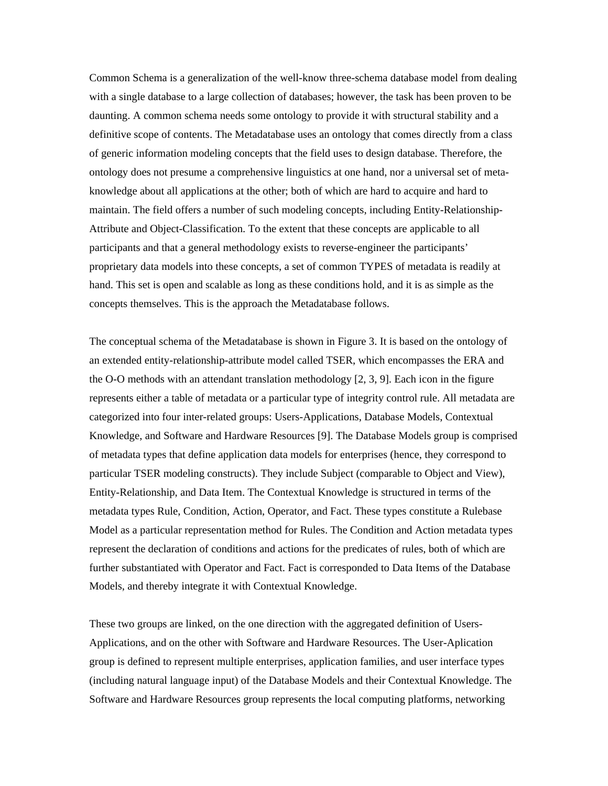Common Schema is a generalization of the well-know three-schema database model from dealing with a single database to a large collection of databases; however, the task has been proven to be daunting. A common schema needs some ontology to provide it with structural stability and a definitive scope of contents. The Metadatabase uses an ontology that comes directly from a class of generic information modeling concepts that the field uses to design database. Therefore, the ontology does not presume a comprehensive linguistics at one hand, nor a universal set of metaknowledge about all applications at the other; both of which are hard to acquire and hard to maintain. The field offers a number of such modeling concepts, including Entity-Relationship-Attribute and Object-Classification. To the extent that these concepts are applicable to all participants and that a general methodology exists to reverse-engineer the participants' proprietary data models into these concepts, a set of common TYPES of metadata is readily at hand. This set is open and scalable as long as these conditions hold, and it is as simple as the concepts themselves. This is the approach the Metadatabase follows.

The conceptual schema of the Metadatabase is shown in Figure 3. It is based on the ontology of an extended entity-relationship-attribute model called TSER, which encompasses the ERA and the O-O methods with an attendant translation methodology  $[2, 3, 9]$ . Each icon in the figure represents either a table of metadata or a particular type of integrity control rule. All metadata are categorized into four inter-related groups: Users-Applications, Database Models, Contextual Knowledge, and Software and Hardware Resources [9]. The Database Models group is comprised of metadata types that define application data models for enterprises (hence, they correspond to particular TSER modeling constructs). They include Subject (comparable to Object and View), Entity-Relationship, and Data Item. The Contextual Knowledge is structured in terms of the metadata types Rule, Condition, Action, Operator, and Fact. These types constitute a Rulebase Model as a particular representation method for Rules. The Condition and Action metadata types represent the declaration of conditions and actions for the predicates of rules, both of which are further substantiated with Operator and Fact. Fact is corresponded to Data Items of the Database Models, and thereby integrate it with Contextual Knowledge.

These two groups are linked, on the one direction with the aggregated definition of Users-Applications, and on the other with Software and Hardware Resources. The User-Aplication group is defined to represent multiple enterprises, application families, and user interface types (including natural language input) of the Database Models and their Contextual Knowledge. The Software and Hardware Resources group represents the local computing platforms, networking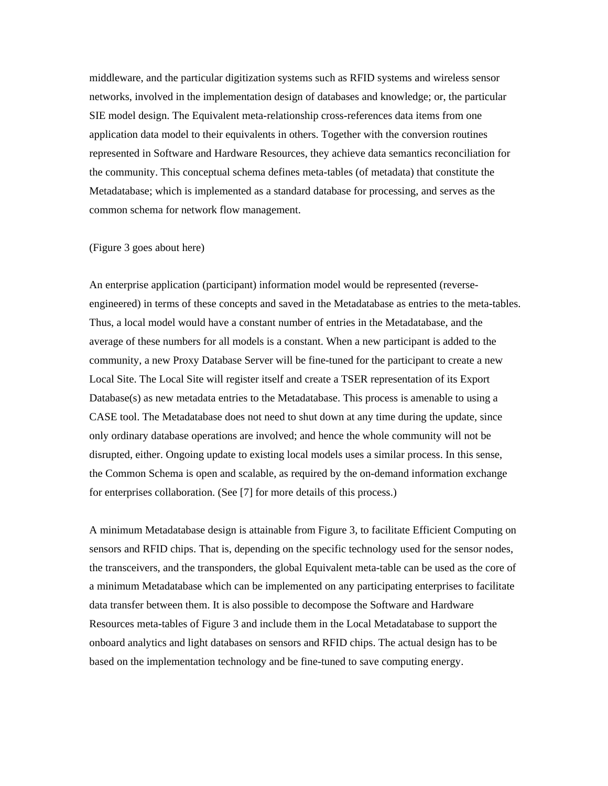middleware, and the particular digitization systems such as RFID systems and wireless sensor networks, involved in the implementation design of databases and knowledge; or, the particular SIE model design. The Equivalent meta-relationship cross-references data items from one application data model to their equivalents in others. Together with the conversion routines represented in Software and Hardware Resources, they achieve data semantics reconciliation for the community. This conceptual schema defines meta-tables (of metadata) that constitute the Metadatabase; which is implemented as a standard database for processing, and serves as the common schema for network flow management.

#### (Figure 3 goes about here)

An enterprise application (participant) information model would be represented (reverseengineered) in terms of these concepts and saved in the Metadatabase as entries to the meta-tables. Thus, a local model would have a constant number of entries in the Metadatabase, and the average of these numbers for all models is a constant. When a new participant is added to the community, a new Proxy Database Server will be fine-tuned for the participant to create a new Local Site. The Local Site will register itself and create a TSER representation of its Export Database(s) as new metadata entries to the Metadatabase. This process is amenable to using a CASE tool. The Metadatabase does not need to shut down at any time during the update, since only ordinary database operations are involved; and hence the whole community will not be disrupted, either. Ongoing update to existing local models uses a similar process. In this sense, the Common Schema is open and scalable, as required by the on-demand information exchange for enterprises collaboration. (See [7] for more details of this process.)

A minimum Metadatabase design is attainable from Figure 3, to facilitate Efficient Computing on sensors and RFID chips. That is, depending on the specific technology used for the sensor nodes, the transceivers, and the transponders, the global Equivalent meta-table can be used as the core of a minimum Metadatabase which can be implemented on any participating enterprises to facilitate data transfer between them. It is also possible to decompose the Software and Hardware Resources meta-tables of Figure 3 and include them in the Local Metadatabase to support the onboard analytics and light databases on sensors and RFID chips. The actual design has to be based on the implementation technology and be fine-tuned to save computing energy.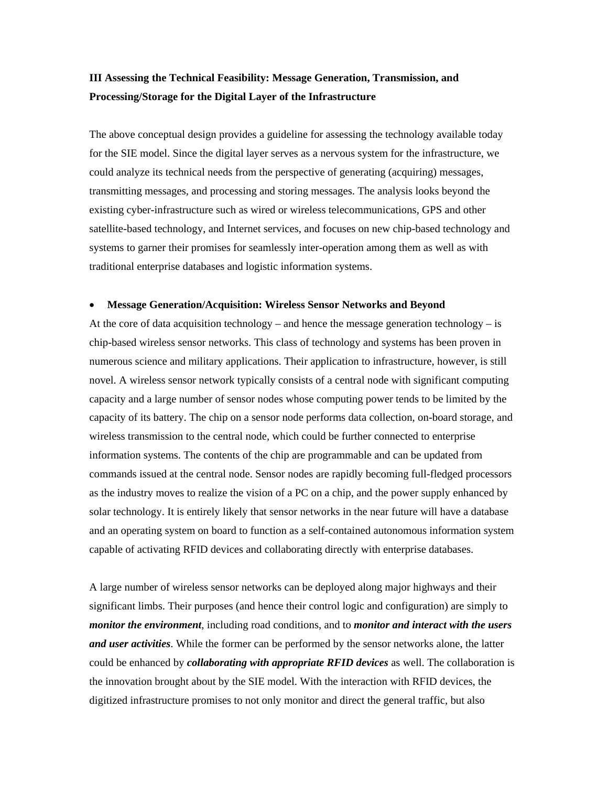## **III Assessing the Technical Feasibility: Message Generation, Transmission, and Processing/Storage for the Digital Layer of the Infrastructure**

The above conceptual design provides a guideline for assessing the technology available today for the SIE model. Since the digital layer serves as a nervous system for the infrastructure, we could analyze its technical needs from the perspective of generating (acquiring) messages, transmitting messages, and processing and storing messages. The analysis looks beyond the existing cyber-infrastructure such as wired or wireless telecommunications, GPS and other satellite-based technology, and Internet services, and focuses on new chip-based technology and systems to garner their promises for seamlessly inter-operation among them as well as with traditional enterprise databases and logistic information systems.

#### • **Message Generation/Acquisition: Wireless Sensor Networks and Beyond**

At the core of data acquisition technology – and hence the message generation technology – is chip-based wireless sensor networks. This class of technology and systems has been proven in numerous science and military applications. Their application to infrastructure, however, is still novel. A wireless sensor network typically consists of a central node with significant computing capacity and a large number of sensor nodes whose computing power tends to be limited by the capacity of its battery. The chip on a sensor node performs data collection, on-board storage, and wireless transmission to the central node, which could be further connected to enterprise information systems. The contents of the chip are programmable and can be updated from commands issued at the central node. Sensor nodes are rapidly becoming full-fledged processors as the industry moves to realize the vision of a PC on a chip, and the power supply enhanced by solar technology. It is entirely likely that sensor networks in the near future will have a database and an operating system on board to function as a self-contained autonomous information system capable of activating RFID devices and collaborating directly with enterprise databases.

A large number of wireless sensor networks can be deployed along major highways and their significant limbs. Their purposes (and hence their control logic and configuration) are simply to *monitor the environment*, including road conditions, and to *monitor and interact with the users and user activities*. While the former can be performed by the sensor networks alone, the latter could be enhanced by *collaborating with appropriate RFID devices* as well. The collaboration is the innovation brought about by the SIE model. With the interaction with RFID devices, the digitized infrastructure promises to not only monitor and direct the general traffic, but also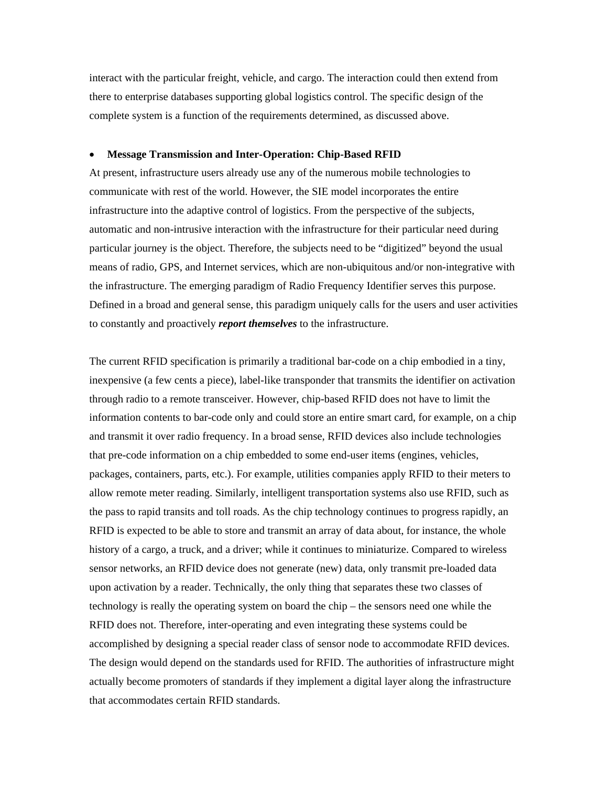interact with the particular freight, vehicle, and cargo. The interaction could then extend from there to enterprise databases supporting global logistics control. The specific design of the complete system is a function of the requirements determined, as discussed above.

#### • **Message Transmission and Inter-Operation: Chip-Based RFID**

At present, infrastructure users already use any of the numerous mobile technologies to communicate with rest of the world. However, the SIE model incorporates the entire infrastructure into the adaptive control of logistics. From the perspective of the subjects, automatic and non-intrusive interaction with the infrastructure for their particular need during particular journey is the object. Therefore, the subjects need to be "digitized" beyond the usual means of radio, GPS, and Internet services, which are non-ubiquitous and/or non-integrative with the infrastructure. The emerging paradigm of Radio Frequency Identifier serves this purpose. Defined in a broad and general sense, this paradigm uniquely calls for the users and user activities to constantly and proactively *report themselves* to the infrastructure.

The current RFID specification is primarily a traditional bar-code on a chip embodied in a tiny, inexpensive (a few cents a piece), label-like transponder that transmits the identifier on activation through radio to a remote transceiver. However, chip-based RFID does not have to limit the information contents to bar-code only and could store an entire smart card, for example, on a chip and transmit it over radio frequency. In a broad sense, RFID devices also include technologies that pre-code information on a chip embedded to some end-user items (engines, vehicles, packages, containers, parts, etc.). For example, utilities companies apply RFID to their meters to allow remote meter reading. Similarly, intelligent transportation systems also use RFID, such as the pass to rapid transits and toll roads. As the chip technology continues to progress rapidly, an RFID is expected to be able to store and transmit an array of data about, for instance, the whole history of a cargo, a truck, and a driver; while it continues to miniaturize. Compared to wireless sensor networks, an RFID device does not generate (new) data, only transmit pre-loaded data upon activation by a reader. Technically, the only thing that separates these two classes of technology is really the operating system on board the chip – the sensors need one while the RFID does not. Therefore, inter-operating and even integrating these systems could be accomplished by designing a special reader class of sensor node to accommodate RFID devices. The design would depend on the standards used for RFID. The authorities of infrastructure might actually become promoters of standards if they implement a digital layer along the infrastructure that accommodates certain RFID standards.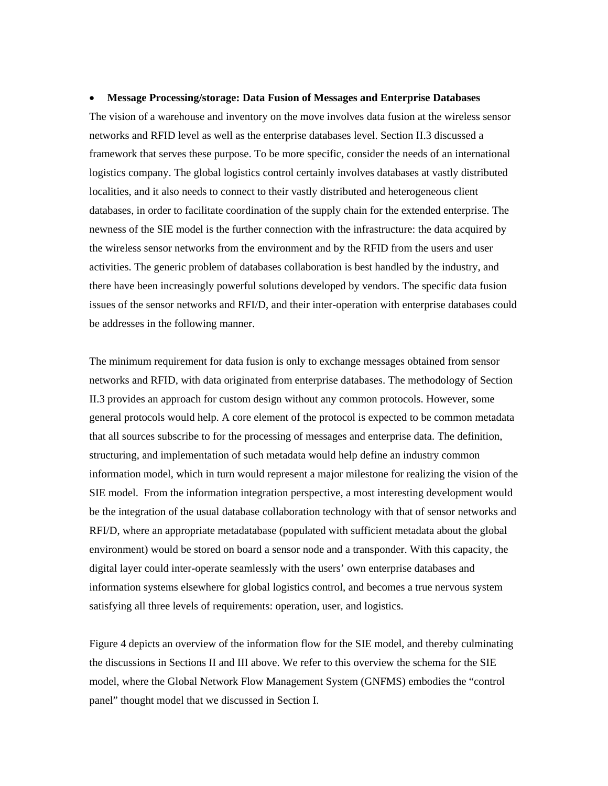#### • **Message Processing/storage: Data Fusion of Messages and Enterprise Databases**

The vision of a warehouse and inventory on the move involves data fusion at the wireless sensor networks and RFID level as well as the enterprise databases level. Section II.3 discussed a framework that serves these purpose. To be more specific, consider the needs of an international logistics company. The global logistics control certainly involves databases at vastly distributed localities, and it also needs to connect to their vastly distributed and heterogeneous client databases, in order to facilitate coordination of the supply chain for the extended enterprise. The newness of the SIE model is the further connection with the infrastructure: the data acquired by the wireless sensor networks from the environment and by the RFID from the users and user activities. The generic problem of databases collaboration is best handled by the industry, and there have been increasingly powerful solutions developed by vendors. The specific data fusion issues of the sensor networks and RFI/D, and their inter-operation with enterprise databases could be addresses in the following manner.

The minimum requirement for data fusion is only to exchange messages obtained from sensor networks and RFID, with data originated from enterprise databases. The methodology of Section II.3 provides an approach for custom design without any common protocols. However, some general protocols would help. A core element of the protocol is expected to be common metadata that all sources subscribe to for the processing of messages and enterprise data. The definition, structuring, and implementation of such metadata would help define an industry common information model, which in turn would represent a major milestone for realizing the vision of the SIE model. From the information integration perspective, a most interesting development would be the integration of the usual database collaboration technology with that of sensor networks and RFI/D, where an appropriate metadatabase (populated with sufficient metadata about the global environment) would be stored on board a sensor node and a transponder. With this capacity, the digital layer could inter-operate seamlessly with the users' own enterprise databases and information systems elsewhere for global logistics control, and becomes a true nervous system satisfying all three levels of requirements: operation, user, and logistics.

Figure 4 depicts an overview of the information flow for the SIE model, and thereby culminating the discussions in Sections II and III above. We refer to this overview the schema for the SIE model, where the Global Network Flow Management System (GNFMS) embodies the "control panel" thought model that we discussed in Section I.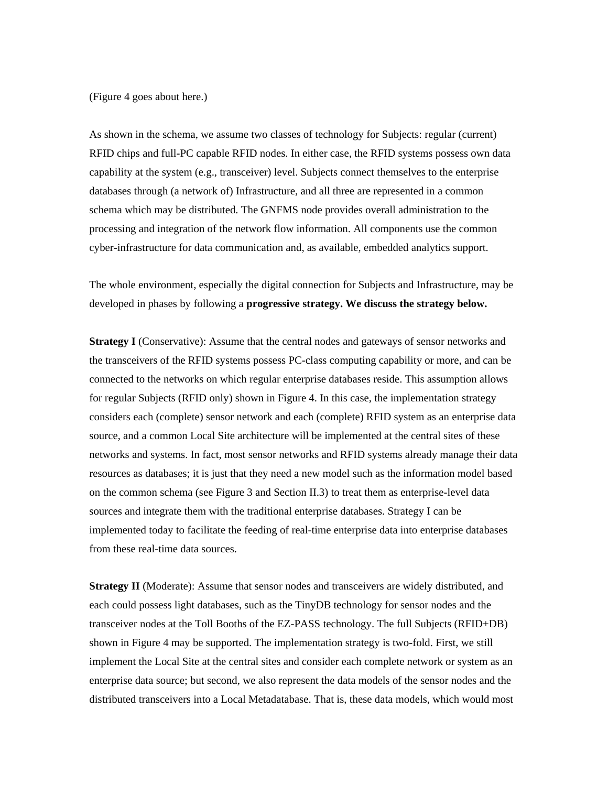(Figure 4 goes about here.)

As shown in the schema, we assume two classes of technology for Subjects: regular (current) RFID chips and full-PC capable RFID nodes. In either case, the RFID systems possess own data capability at the system (e.g., transceiver) level. Subjects connect themselves to the enterprise databases through (a network of) Infrastructure, and all three are represented in a common schema which may be distributed. The GNFMS node provides overall administration to the processing and integration of the network flow information. All components use the common cyber-infrastructure for data communication and, as available, embedded analytics support.

The whole environment, especially the digital connection for Subjects and Infrastructure, may be developed in phases by following a **progressive strategy. We discuss the strategy below.** 

**Strategy I** (Conservative): Assume that the central nodes and gateways of sensor networks and the transceivers of the RFID systems possess PC-class computing capability or more, and can be connected to the networks on which regular enterprise databases reside. This assumption allows for regular Subjects (RFID only) shown in Figure 4. In this case, the implementation strategy considers each (complete) sensor network and each (complete) RFID system as an enterprise data source, and a common Local Site architecture will be implemented at the central sites of these networks and systems. In fact, most sensor networks and RFID systems already manage their data resources as databases; it is just that they need a new model such as the information model based on the common schema (see Figure 3 and Section II.3) to treat them as enterprise-level data sources and integrate them with the traditional enterprise databases. Strategy I can be implemented today to facilitate the feeding of real-time enterprise data into enterprise databases from these real-time data sources.

**Strategy II** (Moderate): Assume that sensor nodes and transceivers are widely distributed, and each could possess light databases, such as the TinyDB technology for sensor nodes and the transceiver nodes at the Toll Booths of the EZ-PASS technology. The full Subjects (RFID+DB) shown in Figure 4 may be supported. The implementation strategy is two-fold. First, we still implement the Local Site at the central sites and consider each complete network or system as an enterprise data source; but second, we also represent the data models of the sensor nodes and the distributed transceivers into a Local Metadatabase. That is, these data models, which would most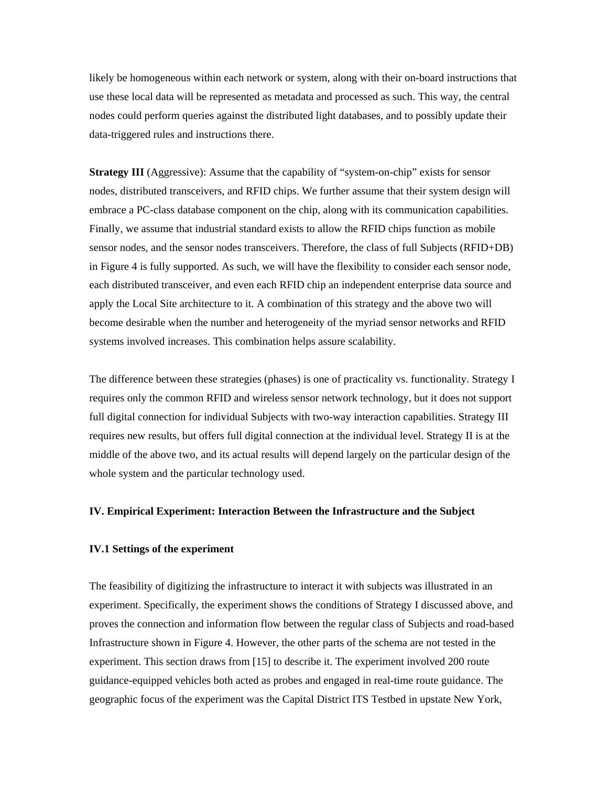likely be homogeneous within each network or system, along with their on-board instructions that use these local data will be represented as metadata and processed as such. This way, the central nodes could perform queries against the distributed light databases, and to possibly update their data-triggered rules and instructions there.

**Strategy III** (Aggressive): Assume that the capability of "system-on-chip" exists for sensor nodes, distributed transceivers, and RFID chips. We further assume that their system design will embrace a PC-class database component on the chip, along with its communication capabilities. Finally, we assume that industrial standard exists to allow the RFID chips function as mobile sensor nodes, and the sensor nodes transceivers. Therefore, the class of full Subjects (RFID+DB) in Figure 4 is fully supported. As such, we will have the flexibility to consider each sensor node, each distributed transceiver, and even each RFID chip an independent enterprise data source and apply the Local Site architecture to it. A combination of this strategy and the above two will become desirable when the number and heterogeneity of the myriad sensor networks and RFID systems involved increases. This combination helps assure scalability.

The difference between these strategies (phases) is one of practicality vs. functionality. Strategy I requires only the common RFID and wireless sensor network technology, but it does not support full digital connection for individual Subjects with two-way interaction capabilities. Strategy III requires new results, but offers full digital connection at the individual level. Strategy II is at the middle of the above two, and its actual results will depend largely on the particular design of the whole system and the particular technology used.

#### **IV. Empirical Experiment: Interaction Between the Infrastructure and the Subject**

#### **IV.1 Settings of the experiment**

The feasibility of digitizing the infrastructure to interact it with subjects was illustrated in an experiment. Specifically, the experiment shows the conditions of Strategy I discussed above, and proves the connection and information flow between the regular class of Subjects and road-based Infrastructure shown in Figure 4. However, the other parts of the schema are not tested in the experiment. This section draws from [15] to describe it. The experiment involved 200 route guidance-equipped vehicles both acted as probes and engaged in real-time route guidance. The geographic focus of the experiment was the Capital District ITS Testbed in upstate New York,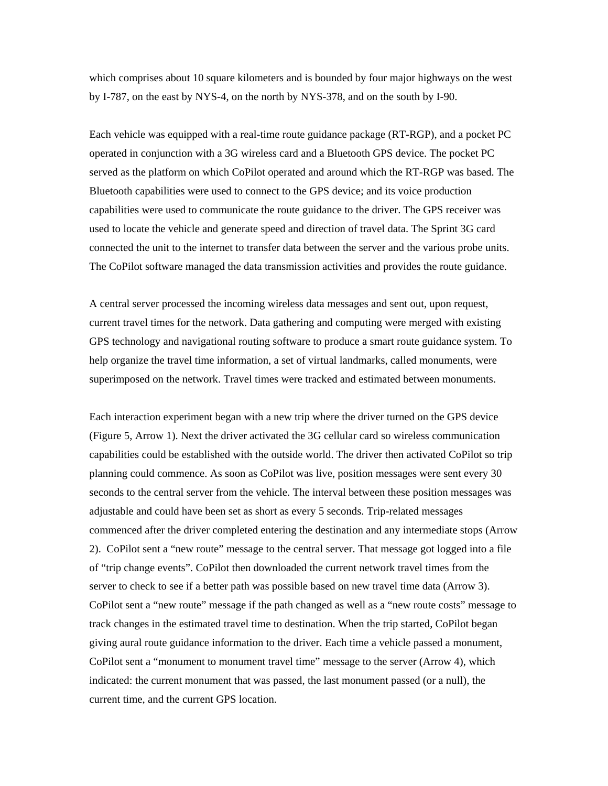which comprises about 10 square kilometers and is bounded by four major highways on the west by I-787, on the east by NYS-4, on the north by NYS-378, and on the south by I-90.

Each vehicle was equipped with a real-time route guidance package (RT-RGP), and a pocket PC operated in conjunction with a 3G wireless card and a Bluetooth GPS device. The pocket PC served as the platform on which CoPilot operated and around which the RT-RGP was based. The Bluetooth capabilities were used to connect to the GPS device; and its voice production capabilities were used to communicate the route guidance to the driver. The GPS receiver was used to locate the vehicle and generate speed and direction of travel data. The Sprint 3G card connected the unit to the internet to transfer data between the server and the various probe units. The CoPilot software managed the data transmission activities and provides the route guidance.

A central server processed the incoming wireless data messages and sent out, upon request, current travel times for the network. Data gathering and computing were merged with existing GPS technology and navigational routing software to produce a smart route guidance system. To help organize the travel time information, a set of virtual landmarks, called monuments, were superimposed on the network. Travel times were tracked and estimated between monuments.

Each interaction experiment began with a new trip where the driver turned on the GPS device (Figure 5, Arrow 1). Next the driver activated the 3G cellular card so wireless communication capabilities could be established with the outside world. The driver then activated CoPilot so trip planning could commence. As soon as CoPilot was live, position messages were sent every 30 seconds to the central server from the vehicle. The interval between these position messages was adjustable and could have been set as short as every 5 seconds. Trip-related messages commenced after the driver completed entering the destination and any intermediate stops (Arrow 2). CoPilot sent a "new route" message to the central server. That message got logged into a file of "trip change events". CoPilot then downloaded the current network travel times from the server to check to see if a better path was possible based on new travel time data (Arrow 3). CoPilot sent a "new route" message if the path changed as well as a "new route costs" message to track changes in the estimated travel time to destination. When the trip started, CoPilot began giving aural route guidance information to the driver. Each time a vehicle passed a monument, CoPilot sent a "monument to monument travel time" message to the server (Arrow 4), which indicated: the current monument that was passed, the last monument passed (or a null), the current time, and the current GPS location.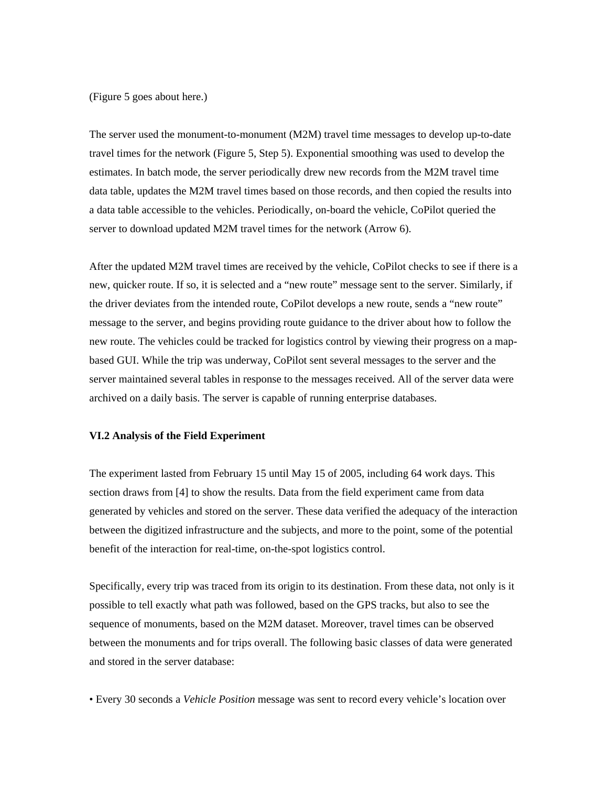#### (Figure 5 goes about here.)

The server used the monument-to-monument (M2M) travel time messages to develop up-to-date travel times for the network (Figure 5, Step 5). Exponential smoothing was used to develop the estimates. In batch mode, the server periodically drew new records from the M2M travel time data table, updates the M2M travel times based on those records, and then copied the results into a data table accessible to the vehicles. Periodically, on-board the vehicle, CoPilot queried the server to download updated M2M travel times for the network (Arrow 6).

After the updated M2M travel times are received by the vehicle, CoPilot checks to see if there is a new, quicker route. If so, it is selected and a "new route" message sent to the server. Similarly, if the driver deviates from the intended route, CoPilot develops a new route, sends a "new route" message to the server, and begins providing route guidance to the driver about how to follow the new route. The vehicles could be tracked for logistics control by viewing their progress on a mapbased GUI. While the trip was underway, CoPilot sent several messages to the server and the server maintained several tables in response to the messages received. All of the server data were archived on a daily basis. The server is capable of running enterprise databases.

#### **VI.2 Analysis of the Field Experiment**

The experiment lasted from February 15 until May 15 of 2005, including 64 work days. This section draws from [4] to show the results. Data from the field experiment came from data generated by vehicles and stored on the server. These data verified the adequacy of the interaction between the digitized infrastructure and the subjects, and more to the point, some of the potential benefit of the interaction for real-time, on-the-spot logistics control.

Specifically, every trip was traced from its origin to its destination. From these data, not only is it possible to tell exactly what path was followed, based on the GPS tracks, but also to see the sequence of monuments, based on the M2M dataset. Moreover, travel times can be observed between the monuments and for trips overall. The following basic classes of data were generated and stored in the server database:

• Every 30 seconds a *Vehicle Position* message was sent to record every vehicle's location over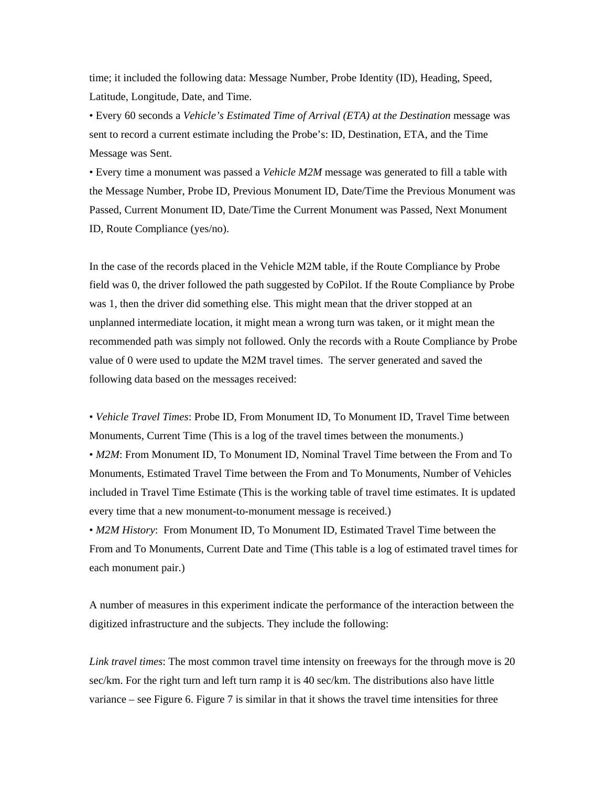time; it included the following data: Message Number, Probe Identity (ID), Heading, Speed, Latitude, Longitude, Date, and Time.

• Every 60 seconds a *Vehicle's Estimated Time of Arrival (ETA) at the Destination* message was sent to record a current estimate including the Probe's: ID, Destination, ETA, and the Time Message was Sent.

• Every time a monument was passed a *Vehicle M2M* message was generated to fill a table with the Message Number, Probe ID, Previous Monument ID, Date/Time the Previous Monument was Passed, Current Monument ID, Date/Time the Current Monument was Passed, Next Monument ID, Route Compliance (yes/no).

In the case of the records placed in the Vehicle M2M table, if the Route Compliance by Probe field was 0, the driver followed the path suggested by CoPilot. If the Route Compliance by Probe was 1, then the driver did something else. This might mean that the driver stopped at an unplanned intermediate location, it might mean a wrong turn was taken, or it might mean the recommended path was simply not followed. Only the records with a Route Compliance by Probe value of 0 were used to update the M2M travel times. The server generated and saved the following data based on the messages received:

• *Vehicle Travel Times*: Probe ID, From Monument ID, To Monument ID, Travel Time between Monuments, Current Time (This is a log of the travel times between the monuments.) • *M2M*: From Monument ID, To Monument ID, Nominal Travel Time between the From and To Monuments, Estimated Travel Time between the From and To Monuments, Number of Vehicles included in Travel Time Estimate (This is the working table of travel time estimates. It is updated every time that a new monument-to-monument message is received.)

• *M2M History*: From Monument ID, To Monument ID, Estimated Travel Time between the From and To Monuments, Current Date and Time (This table is a log of estimated travel times for each monument pair.)

A number of measures in this experiment indicate the performance of the interaction between the digitized infrastructure and the subjects. They include the following:

*Link travel times*: The most common travel time intensity on freeways for the through move is 20 sec/km. For the right turn and left turn ramp it is 40 sec/km. The distributions also have little variance – see Figure 6. Figure 7 is similar in that it shows the travel time intensities for three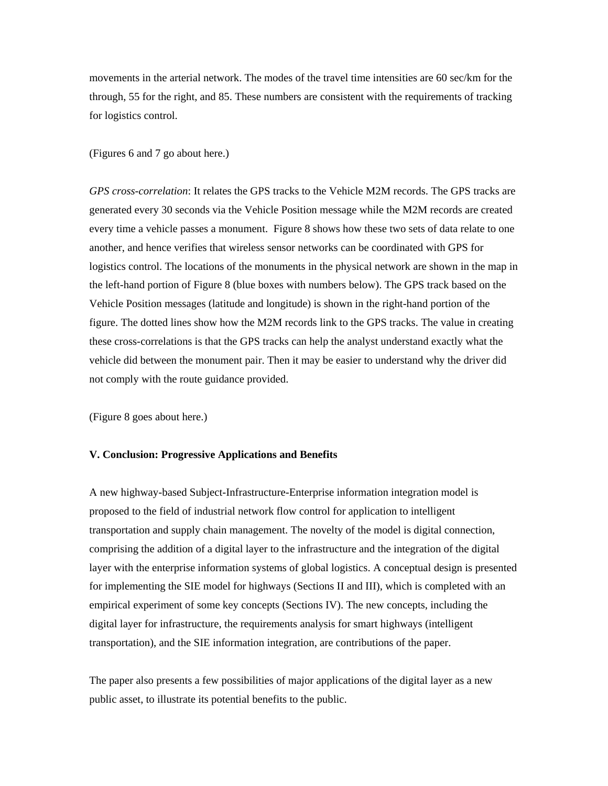movements in the arterial network. The modes of the travel time intensities are 60 sec/km for the through, 55 for the right, and 85. These numbers are consistent with the requirements of tracking for logistics control.

#### (Figures 6 and 7 go about here.)

*GPS cross-correlation*: It relates the GPS tracks to the Vehicle M2M records. The GPS tracks are generated every 30 seconds via the Vehicle Position message while the M2M records are created every time a vehicle passes a monument. Figure 8 shows how these two sets of data relate to one another, and hence verifies that wireless sensor networks can be coordinated with GPS for logistics control. The locations of the monuments in the physical network are shown in the map in the left-hand portion of Figure 8 (blue boxes with numbers below). The GPS track based on the Vehicle Position messages (latitude and longitude) is shown in the right-hand portion of the figure. The dotted lines show how the M2M records link to the GPS tracks. The value in creating these cross-correlations is that the GPS tracks can help the analyst understand exactly what the vehicle did between the monument pair. Then it may be easier to understand why the driver did not comply with the route guidance provided.

(Figure 8 goes about here.)

#### **V. Conclusion: Progressive Applications and Benefits**

A new highway-based Subject-Infrastructure-Enterprise information integration model is proposed to the field of industrial network flow control for application to intelligent transportation and supply chain management. The novelty of the model is digital connection, comprising the addition of a digital layer to the infrastructure and the integration of the digital layer with the enterprise information systems of global logistics. A conceptual design is presented for implementing the SIE model for highways (Sections II and III), which is completed with an empirical experiment of some key concepts (Sections IV). The new concepts, including the digital layer for infrastructure, the requirements analysis for smart highways (intelligent transportation), and the SIE information integration, are contributions of the paper.

The paper also presents a few possibilities of major applications of the digital layer as a new public asset, to illustrate its potential benefits to the public.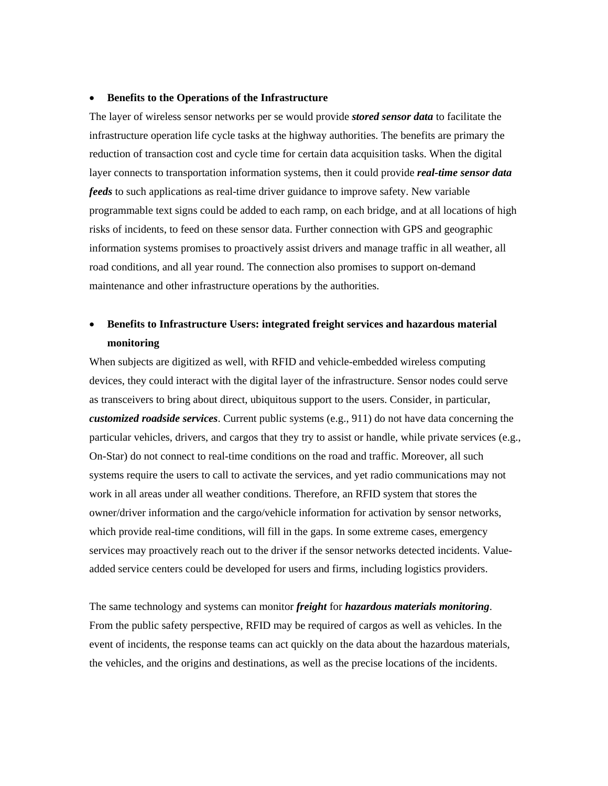#### • **Benefits to the Operations of the Infrastructure**

The layer of wireless sensor networks per se would provide *stored sensor data* to facilitate the infrastructure operation life cycle tasks at the highway authorities. The benefits are primary the reduction of transaction cost and cycle time for certain data acquisition tasks. When the digital layer connects to transportation information systems, then it could provide *real-time sensor data feeds* to such applications as real-time driver guidance to improve safety. New variable programmable text signs could be added to each ramp, on each bridge, and at all locations of high risks of incidents, to feed on these sensor data. Further connection with GPS and geographic information systems promises to proactively assist drivers and manage traffic in all weather, all road conditions, and all year round. The connection also promises to support on-demand maintenance and other infrastructure operations by the authorities.

## • **Benefits to Infrastructure Users: integrated freight services and hazardous material monitoring**

When subjects are digitized as well, with RFID and vehicle-embedded wireless computing devices, they could interact with the digital layer of the infrastructure. Sensor nodes could serve as transceivers to bring about direct, ubiquitous support to the users. Consider, in particular, *customized roadside services*. Current public systems (e.g., 911) do not have data concerning the particular vehicles, drivers, and cargos that they try to assist or handle, while private services (e.g., On-Star) do not connect to real-time conditions on the road and traffic. Moreover, all such systems require the users to call to activate the services, and yet radio communications may not work in all areas under all weather conditions. Therefore, an RFID system that stores the owner/driver information and the cargo/vehicle information for activation by sensor networks, which provide real-time conditions, will fill in the gaps. In some extreme cases, emergency services may proactively reach out to the driver if the sensor networks detected incidents. Valueadded service centers could be developed for users and firms, including logistics providers.

The same technology and systems can monitor *freight* for *hazardous materials monitoring*. From the public safety perspective, RFID may be required of cargos as well as vehicles. In the event of incidents, the response teams can act quickly on the data about the hazardous materials, the vehicles, and the origins and destinations, as well as the precise locations of the incidents.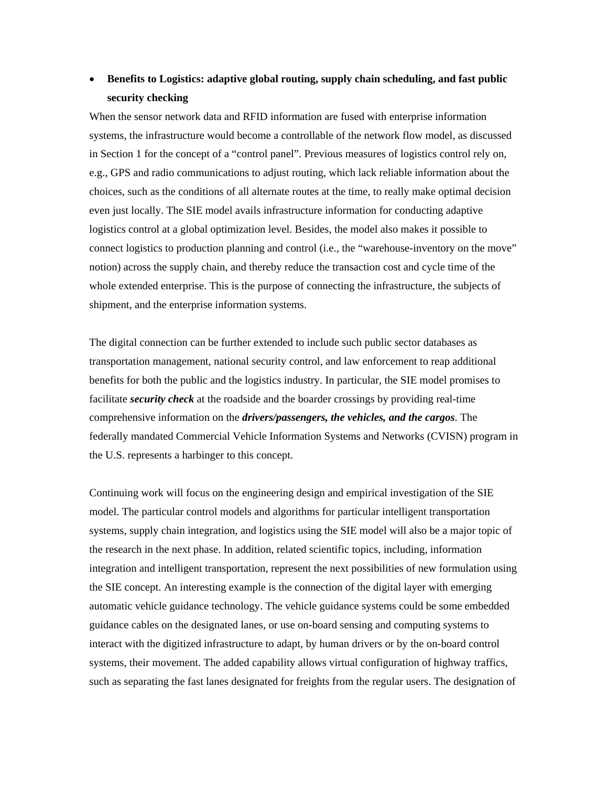## • **Benefits to Logistics: adaptive global routing, supply chain scheduling, and fast public security checking**

When the sensor network data and RFID information are fused with enterprise information systems, the infrastructure would become a controllable of the network flow model, as discussed in Section 1 for the concept of a "control panel". Previous measures of logistics control rely on, e.g., GPS and radio communications to adjust routing, which lack reliable information about the choices, such as the conditions of all alternate routes at the time, to really make optimal decision even just locally. The SIE model avails infrastructure information for conducting adaptive logistics control at a global optimization level. Besides, the model also makes it possible to connect logistics to production planning and control (i.e., the "warehouse-inventory on the move" notion) across the supply chain, and thereby reduce the transaction cost and cycle time of the whole extended enterprise. This is the purpose of connecting the infrastructure, the subjects of shipment, and the enterprise information systems.

The digital connection can be further extended to include such public sector databases as transportation management, national security control, and law enforcement to reap additional benefits for both the public and the logistics industry. In particular, the SIE model promises to facilitate *security check* at the roadside and the boarder crossings by providing real-time comprehensive information on the *drivers/passengers, the vehicles, and the cargos*. The federally mandated Commercial Vehicle Information Systems and Networks (CVISN) program in the U.S. represents a harbinger to this concept.

Continuing work will focus on the engineering design and empirical investigation of the SIE model. The particular control models and algorithms for particular intelligent transportation systems, supply chain integration, and logistics using the SIE model will also be a major topic of the research in the next phase. In addition, related scientific topics, including, information integration and intelligent transportation, represent the next possibilities of new formulation using the SIE concept. An interesting example is the connection of the digital layer with emerging automatic vehicle guidance technology. The vehicle guidance systems could be some embedded guidance cables on the designated lanes, or use on-board sensing and computing systems to interact with the digitized infrastructure to adapt, by human drivers or by the on-board control systems, their movement. The added capability allows virtual configuration of highway traffics, such as separating the fast lanes designated for freights from the regular users. The designation of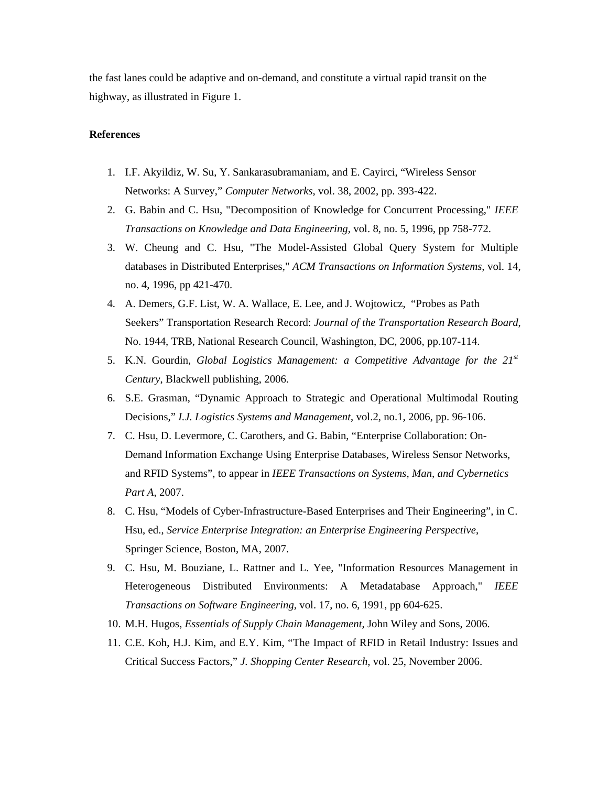the fast lanes could be adaptive and on-demand, and constitute a virtual rapid transit on the highway, as illustrated in Figure 1.

#### **References**

- 1. I.F. Akyildiz, W. Su, Y. Sankarasubramaniam, and E. Cayirci, "Wireless Sensor Networks: A Survey," *Computer Networks*, vol. 38, 2002, pp. 393-422.
- 2. G. Babin and C. Hsu, "Decomposition of Knowledge for Concurrent Processing," *IEEE Transactions on Knowledge and Data Engineering,* vol. 8, no. 5, 1996, pp 758-772.
- 3. W. Cheung and C. Hsu, "The Model-Assisted Global Query System for Multiple databases in Distributed Enterprises," *ACM Transactions on Information Systems,* vol. 14, no. 4, 1996, pp 421-470.
- 4. A. Demers, G.F. List, W. A. Wallace, E. Lee, and J. Wojtowicz, "Probes as Path Seekers" Transportation Research Record: *Journal of the Transportation Research Board*, No. 1944, TRB, National Research Council, Washington, DC, 2006, pp.107-114.
- 5. K.N. Gourdin, *Global Logistics Management: a Competitive Advantage for the 21st Century*, Blackwell publishing, 2006.
- 6. S.E. Grasman, "Dynamic Approach to Strategic and Operational Multimodal Routing Decisions," *I.J. Logistics Systems and Management*, vol.2, no.1, 2006, pp. 96-106.
- 7. C. Hsu, D. Levermore, C. Carothers, and G. Babin, "Enterprise Collaboration: On-Demand Information Exchange Using Enterprise Databases, Wireless Sensor Networks, and RFID Systems", to appear in *IEEE Transactions on Systems, Man, and Cybernetics Part A*, 2007.
- 8. C. Hsu, "Models of Cyber-Infrastructure-Based Enterprises and Their Engineering", in C. Hsu, ed., *Service Enterprise Integration: an Enterprise Engineering Perspective*, Springer Science, Boston, MA, 2007.
- 9. C. Hsu, M. Bouziane, L. Rattner and L. Yee, "Information Resources Management in Heterogeneous Distributed Environments: A Metadatabase Approach," *IEEE Transactions on Software Engineering,* vol. 17, no. 6, 1991, pp 604-625.
- 10. M.H. Hugos, *Essentials of Supply Chain Management*, John Wiley and Sons, 2006.
- 11. C.E. Koh, H.J. Kim, and E.Y. Kim, "The Impact of RFID in Retail Industry: Issues and Critical Success Factors," *J. Shopping Center Research*, vol. 25, November 2006.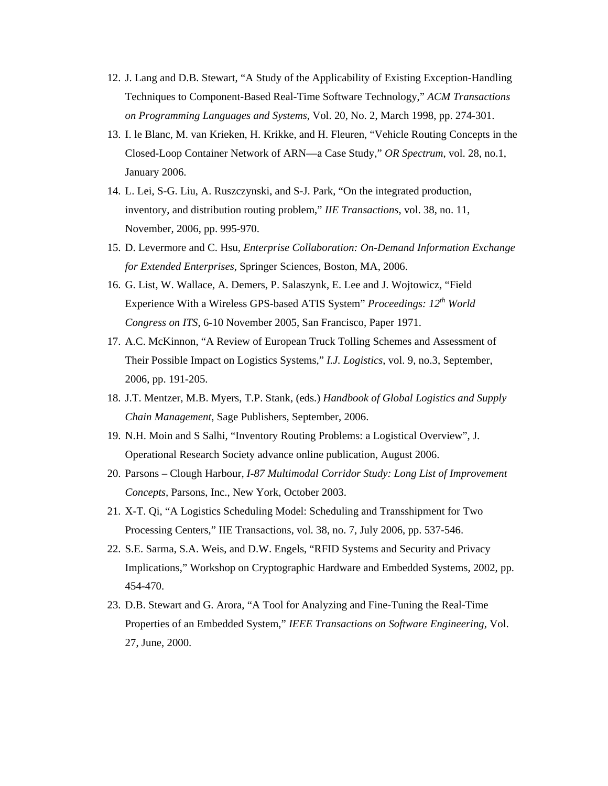- 12. J. Lang and D.B. Stewart, "A Study of the Applicability of Existing Exception-Handling Techniques to Component-Based Real-Time Software Technology," *ACM Transactions on Programming Languages and Systems*, Vol. 20, No. 2, March 1998, pp. 274-301.
- 13. I. le Blanc, M. van Krieken, H. Krikke, and H. Fleuren, "Vehicle Routing Concepts in the Closed-Loop Container Network of ARN—a Case Study," *OR Spectrum*, vol. 28, no.1, January 2006.
- 14. L. Lei, S-G. Liu, A. Ruszczynski, and S-J. Park, "On the integrated production, inventory, and distribution routing problem," *IIE Transactions*, vol. 38, no. 11, November, 2006, pp. 995-970.
- 15. D. Levermore and C. Hsu, *Enterprise Collaboration: On-Demand Information Exchange for Extended Enterprises*, Springer Sciences, Boston, MA, 2006.
- 16. G. List, W. Wallace, A. Demers, P. Salaszynk, E. Lee and J. Wojtowicz, "Field Experience With a Wireless GPS-based ATIS System" *Proceedings: 12th World Congress on ITS*, 6-10 November 2005, San Francisco, Paper 1971.
- 17. A.C. McKinnon, "A Review of European Truck Tolling Schemes and Assessment of Their Possible Impact on Logistics Systems," *I.J. Logistics*, vol. 9, no.3, September, 2006, pp. 191-205.
- 18. J.T. Mentzer, M.B. Myers, T.P. Stank, (eds.) *Handbook of Global Logistics and Supply Chain Management*, Sage Publishers, September, 2006.
- 19. N.H. Moin and S Salhi, "Inventory Routing Problems: a Logistical Overview", J. Operational Research Society advance online publication, August 2006.
- 20. Parsons Clough Harbour, *I-87 Multimodal Corridor Study: Long List of Improvement Concepts,* Parsons, Inc., New York, October 2003.
- 21. X-T. Qi, "A Logistics Scheduling Model: Scheduling and Transshipment for Two Processing Centers," IIE Transactions, vol. 38, no. 7, July 2006, pp. 537-546.
- 22. S.E. Sarma, S.A. Weis, and D.W. Engels, "RFID Systems and Security and Privacy Implications," Workshop on Cryptographic Hardware and Embedded Systems, 2002, pp. 454-470.
- 23. D.B. Stewart and G. Arora, "A Tool for Analyzing and Fine-Tuning the Real-Time Properties of an Embedded System," *IEEE Transactions on Software Engineering*, Vol. 27, June, 2000.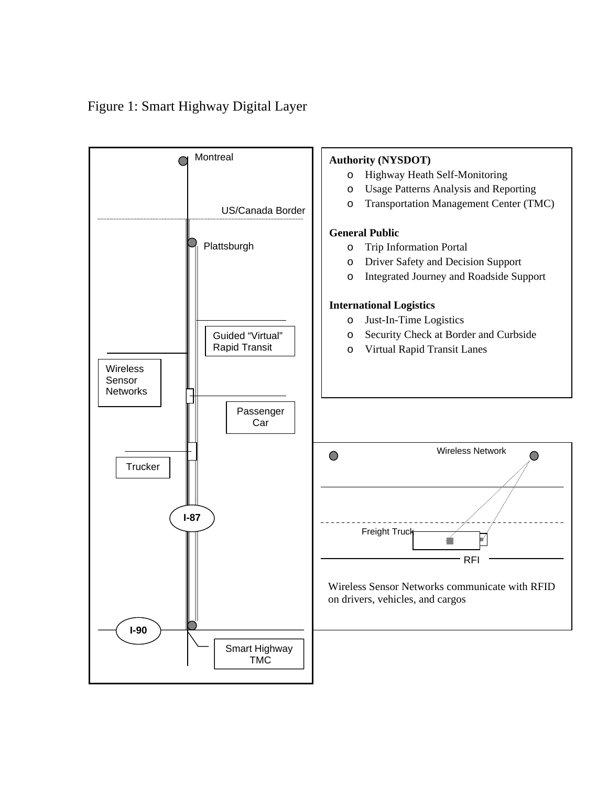

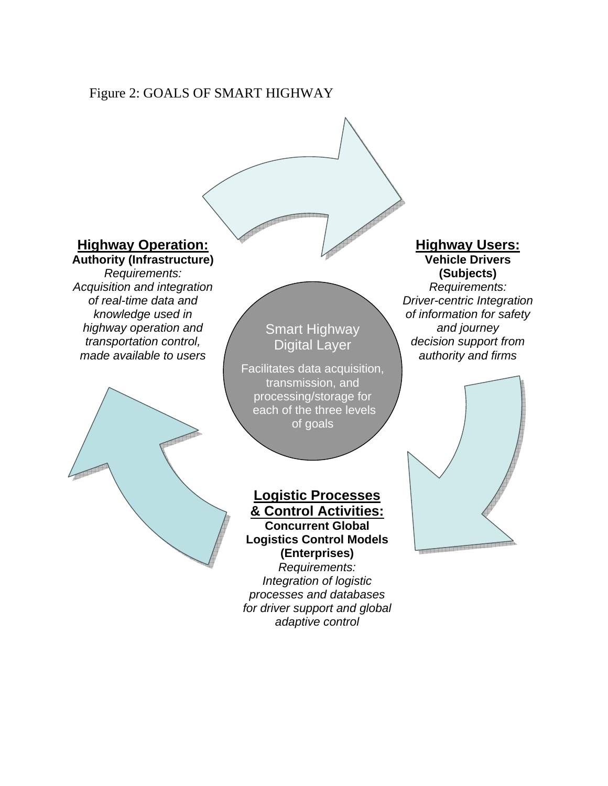## Figure 2: GOALS OF SMART HIGHWAY

# **Highway Operation:**

**Authority (Infrastructure)**  *Requirements: Acquisition and integration of real-time data and knowledge used in highway operation and transportation control, made available to users* 

## Smart Highway Digital Layer

Facilitates data acquisition, transmission, and processing/storage for each of the three levels of goals

# **Logistic Processes & Control Activities:**

**Concurrent Global Logistics Control Models (Enterprises)**  *Requirements: Integration of logistic processes and databases for driver support and global adaptive control*

### **Highway Users: Vehicle Drivers (Subjects)**

*Requirements: Driver-centric Integration of information for safety and journey decision support from authority and firms*

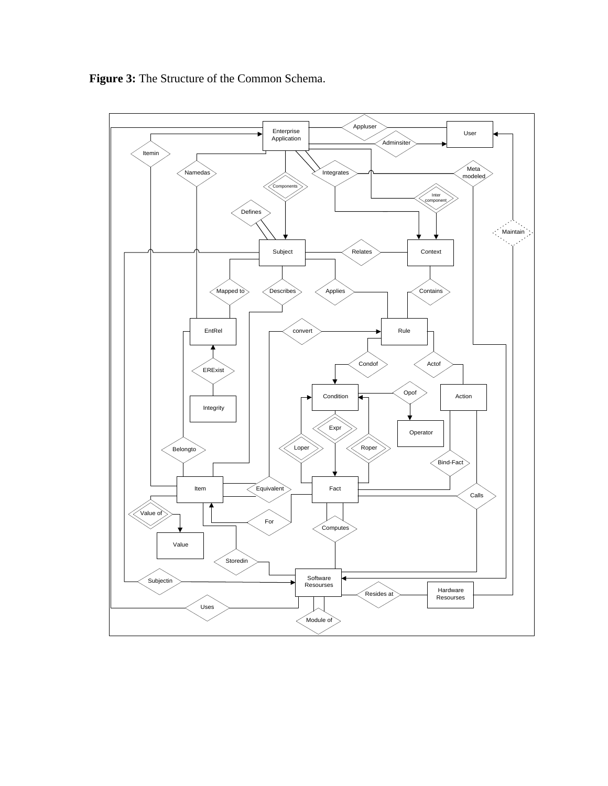

**Figure 3:** The Structure of the Common Schema.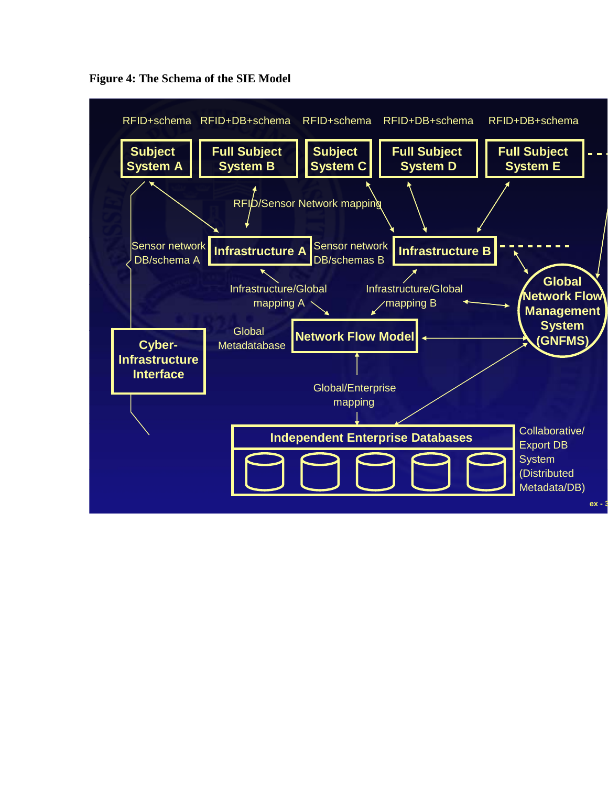

**Figure 4: The Schema of the SIE Model**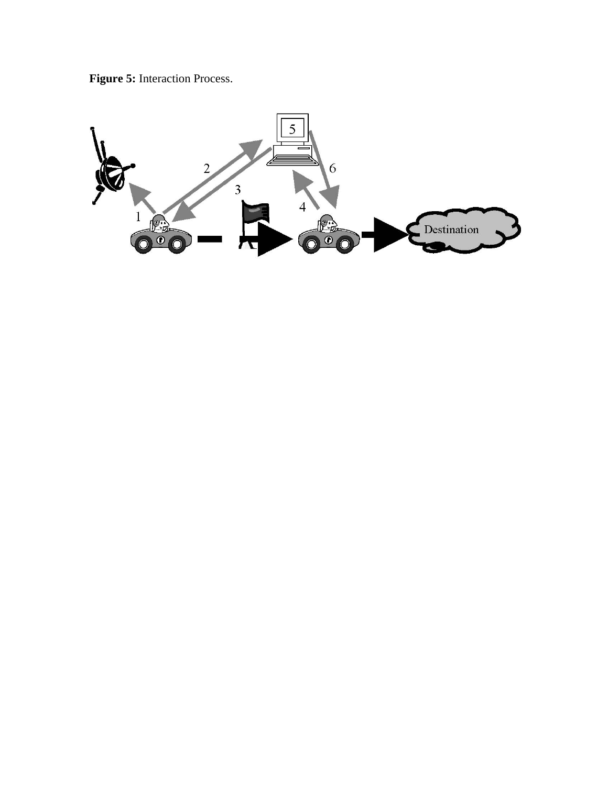

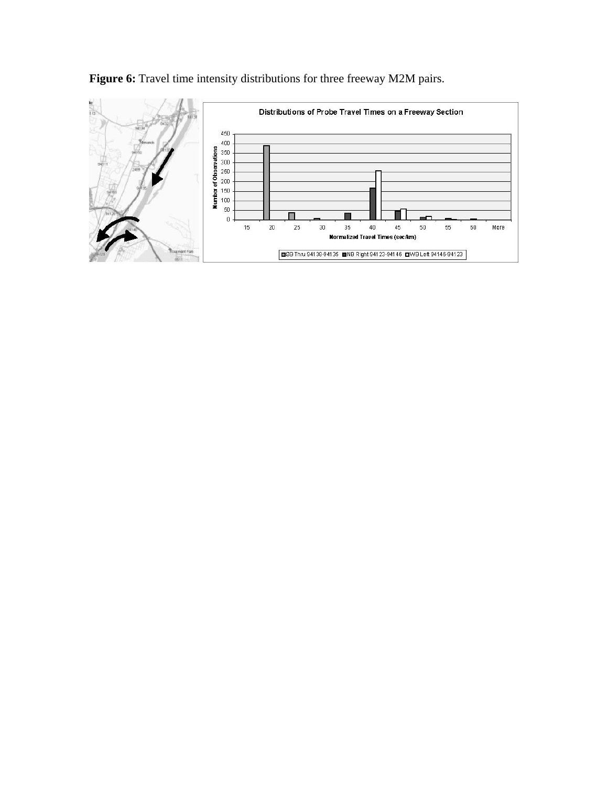

**Figure 6:** Travel time intensity distributions for three freeway M2M pairs.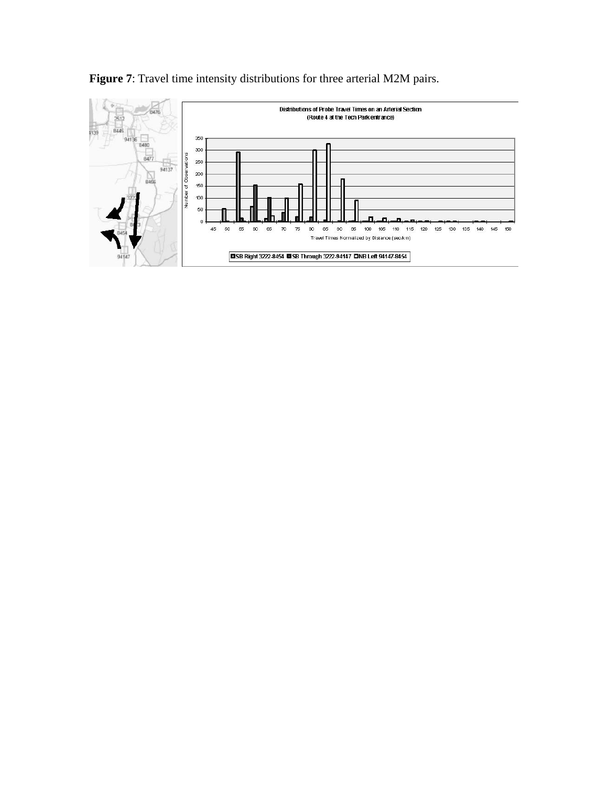

**Figure 7**: Travel time intensity distributions for three arterial M2M pairs.